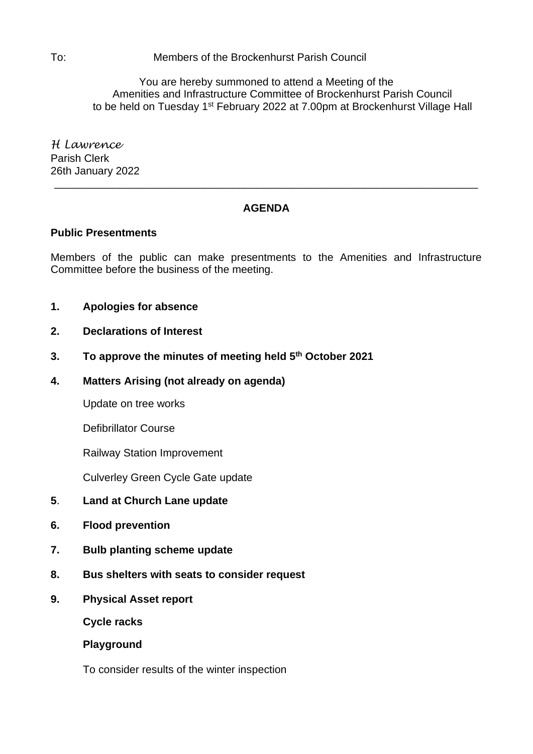To: Members of the Brockenhurst Parish Council

You are hereby summoned to attend a Meeting of the Amenities and Infrastructure Committee of Brockenhurst Parish Council to be held on Tuesday 1<sup>st</sup> February 2022 at 7.00pm at Brockenhurst Village Hall

*H Lawrence* Parish Clerk 26th January 2022

# **AGENDA**

\_\_\_\_\_\_\_\_\_\_\_\_\_\_\_\_\_\_\_\_\_\_\_\_\_\_\_\_\_\_\_\_\_\_\_\_\_\_\_\_\_\_\_\_\_\_\_\_\_\_\_\_\_\_\_\_\_\_\_\_\_\_\_\_\_\_\_\_\_\_\_

## **Public Presentments**

Members of the public can make presentments to the Amenities and Infrastructure Committee before the business of the meeting.

- **1. Apologies for absence**
- **2. Declarations of Interest**
- **3. To approve the minutes of meeting held 5 th October 2021**
- **4. Matters Arising (not already on agenda)**

Update on tree works

Defibrillator Course

Railway Station Improvement

Culverley Green Cycle Gate update

- **5**. **Land at Church Lane update**
- **6. Flood prevention**
- **7. Bulb planting scheme update**
- **8. Bus shelters with seats to consider request**
- **9. Physical Asset report**

**Cycle racks**

**Playground**

To consider results of the winter inspection